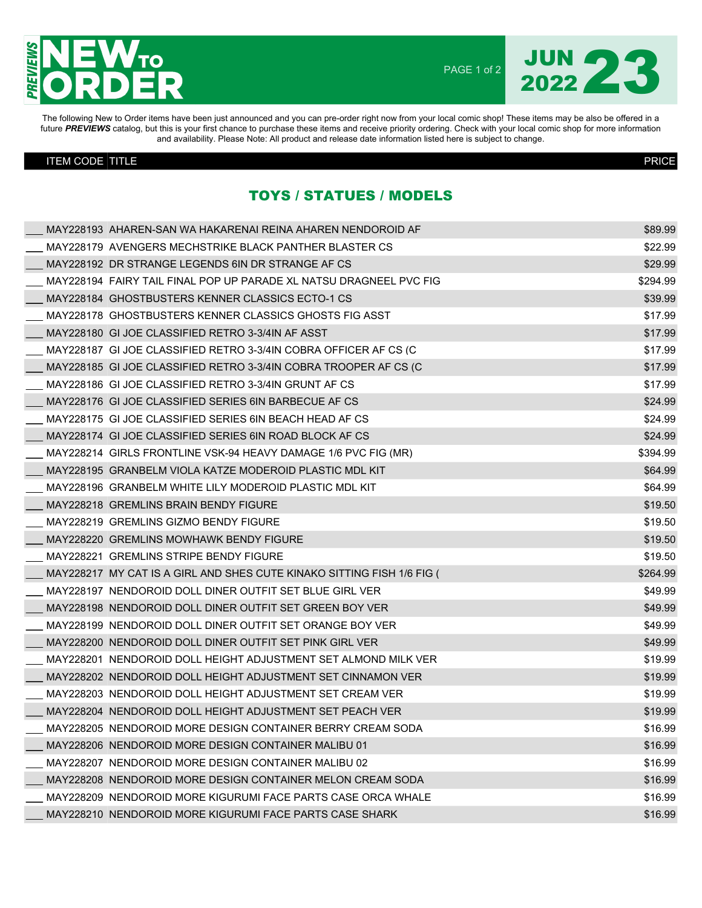

PAGE 1 of 2

JUN 23

The following New to Order items have been just announced and you can pre-order right now from your local comic shop! These items may be also be offered in a future PREVIEWS catalog, but this is your first chance to purchase these items and receive priority ordering. Check with your local comic shop for more information and availability. Please Note: All product and release date information listed here is subject to change.

## ITEM CODE TITLE PRICE

## TOYS / STATUES / MODELS

| MAY228193_AHAREN-SAN WA HAKARENAI REINA AHAREN NENDOROID AF            | \$89.99  |
|------------------------------------------------------------------------|----------|
| MAY228179 AVENGERS MECHSTRIKE BLACK PANTHER BLASTER CS                 | \$22.99  |
| MAY228192 DR STRANGE LEGENDS 6IN DR STRANGE AF CS                      | \$29.99  |
| MAY228194 FAIRY TAIL FINAL POP UP PARADE XL NATSU DRAGNEEL PVC FIG     | \$294.99 |
| MAY228184 GHOSTBUSTERS KENNER CLASSICS ECTO-1 CS                       | \$39.99  |
| MAY228178 GHOSTBUSTERS KENNER CLASSICS GHOSTS FIG ASST                 | \$17.99  |
| MAY228180 GI JOE CLASSIFIED RETRO 3-3/4IN AF ASST                      | \$17.99  |
| MAY228187 GI JOE CLASSIFIED RETRO 3-3/4IN COBRA OFFICER AF CS (C       | \$17.99  |
| MAY228185 GI JOE CLASSIFIED RETRO 3-3/4IN COBRA TROOPER AF CS (C       | \$17.99  |
| MAY228186 GI JOE CLASSIFIED RETRO 3-3/4IN GRUNT AF CS                  | \$17.99  |
| MAY228176 GI JOE CLASSIFIED SERIES 6IN BARBECUE AF CS                  | \$24.99  |
| MAY228175 GI JOE CLASSIFIED SERIES 6IN BEACH HEAD AF CS                | \$24.99  |
| MAY228174 GI JOE CLASSIFIED SERIES 6IN ROAD BLOCK AF CS                | \$24.99  |
| MAY228214 GIRLS FRONTLINE VSK-94 HEAVY DAMAGE 1/6 PVC FIG (MR)         | \$394.99 |
| MAY228195 GRANBELM VIOLA KATZE MODEROID PLASTIC MDL KIT                | \$64.99  |
| MAY228196 GRANBELM WHITE LILY MODEROID PLASTIC MDL KIT                 | \$64.99  |
| MAY228218 GREMLINS BRAIN BENDY FIGURE                                  | \$19.50  |
| MAY228219 GREMLINS GIZMO BENDY FIGURE                                  | \$19.50  |
| MAY228220 GREMLINS MOWHAWK BENDY FIGURE                                | \$19.50  |
| MAY228221 GREMLINS STRIPE BENDY FIGURE                                 | \$19.50  |
| MAY228217 MY CAT IS A GIRL AND SHES CUTE KINAKO SITTING FISH 1/6 FIG ( | \$264.99 |
| MAY228197 NENDOROID DOLL DINER OUTFIT SET BLUE GIRL VER                | \$49.99  |
| MAY228198 NENDOROID DOLL DINER OUTFIT SET GREEN BOY VER                | \$49.99  |
| MAY228199 NENDOROID DOLL DINER OUTFIT SET ORANGE BOY VER               | \$49.99  |
| MAY228200 NENDOROID DOLL DINER OUTFIT SET PINK GIRL VER                | \$49.99  |
| MAY228201 NENDOROID DOLL HEIGHT ADJUSTMENT SET ALMOND MILK VER         | \$19.99  |
| MAY228202 NENDOROID DOLL HEIGHT ADJUSTMENT SET CINNAMON VER            | \$19.99  |
| MAY228203 NENDOROID DOLL HEIGHT ADJUSTMENT SET CREAM VER               | \$19.99  |
| MAY228204 NENDOROID DOLL HEIGHT ADJUSTMENT SET PEACH VER               | \$19.99  |
| MAY228205 NENDOROID MORE DESIGN CONTAINER BERRY CREAM SODA             | \$16.99  |
| MAY228206 NENDOROID MORE DESIGN CONTAINER MALIBU 01                    | \$16.99  |
| MAY228207 NENDOROID MORE DESIGN CONTAINER MALIBU 02                    | \$16.99  |
| MAY228208 NENDOROID MORE DESIGN CONTAINER MELON CREAM SODA             | \$16.99  |
| MAY228209 NENDOROID MORE KIGURUMI FACE PARTS CASE ORCA WHALE           | \$16.99  |
| MAY228210 NENDOROID MORE KIGURUMI FACE PARTS CASE SHARK                | \$16.99  |